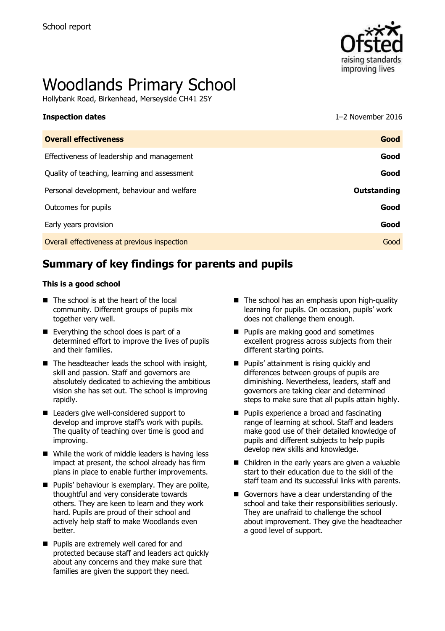

# Woodlands Primary School

Hollybank Road, Birkenhead, Merseyside CH41 2SY

| <b>Inspection dates</b>                      | $1-2$ November 2016 |
|----------------------------------------------|---------------------|
| <b>Overall effectiveness</b>                 | Good                |
| Effectiveness of leadership and management   | Good                |
| Quality of teaching, learning and assessment | Good                |
| Personal development, behaviour and welfare  | <b>Outstanding</b>  |
| Outcomes for pupils                          | Good                |
| Early years provision                        | Good                |

Overall effectiveness at previous inspection Good

# **Summary of key findings for parents and pupils**

#### **This is a good school**

- The school is at the heart of the local community. Different groups of pupils mix together very well.
- Everything the school does is part of a determined effort to improve the lives of pupils and their families.
- $\blacksquare$  The headteacher leads the school with insight, skill and passion. Staff and governors are absolutely dedicated to achieving the ambitious vision she has set out. The school is improving rapidly.
- Leaders give well-considered support to develop and improve staff's work with pupils. The quality of teaching over time is good and improving.
- While the work of middle leaders is having less impact at present, the school already has firm plans in place to enable further improvements.
- $\blacksquare$  Pupils' behaviour is exemplary. They are polite, thoughtful and very considerate towards others. They are keen to learn and they work hard. Pupils are proud of their school and actively help staff to make Woodlands even better.
- **Pupils are extremely well cared for and** protected because staff and leaders act quickly about any concerns and they make sure that families are given the support they need.
- $\blacksquare$  The school has an emphasis upon high-quality learning for pupils. On occasion, pupils' work does not challenge them enough.
- **Pupils are making good and sometimes** excellent progress across subjects from their different starting points.
- **Pupils' attainment is rising quickly and** differences between groups of pupils are diminishing. Nevertheless, leaders, staff and governors are taking clear and determined steps to make sure that all pupils attain highly.
- **Pupils experience a broad and fascinating** range of learning at school. Staff and leaders make good use of their detailed knowledge of pupils and different subjects to help pupils develop new skills and knowledge.
- Children in the early years are given a valuable start to their education due to the skill of the staff team and its successful links with parents.
- Governors have a clear understanding of the school and take their responsibilities seriously. They are unafraid to challenge the school about improvement. They give the headteacher a good level of support.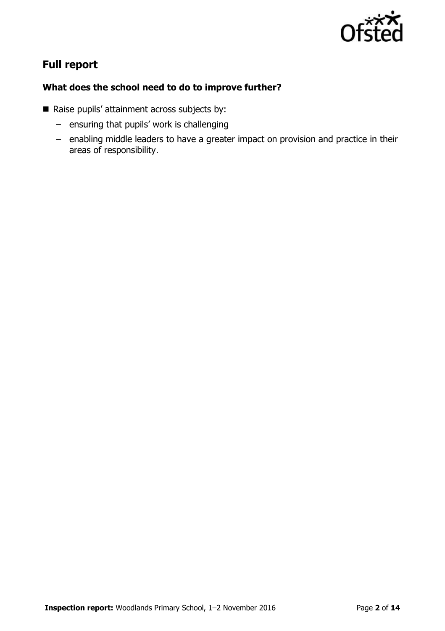

# **Full report**

### **What does the school need to do to improve further?**

- Raise pupils' attainment across subjects by:
	- ensuring that pupils' work is challenging
	- enabling middle leaders to have a greater impact on provision and practice in their areas of responsibility.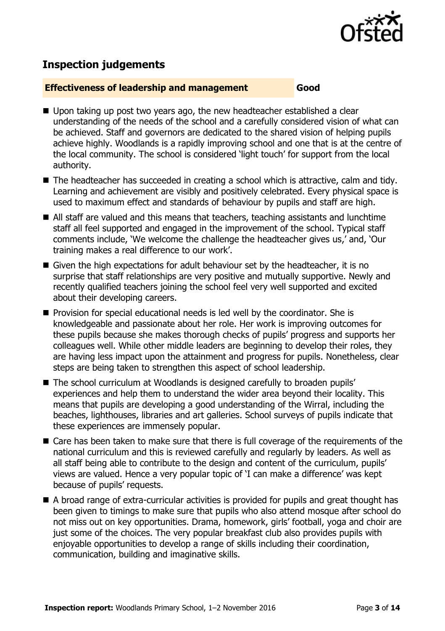

# **Inspection judgements**

#### **Effectiveness of leadership and management Good**

- Upon taking up post two years ago, the new headteacher established a clear understanding of the needs of the school and a carefully considered vision of what can be achieved. Staff and governors are dedicated to the shared vision of helping pupils achieve highly. Woodlands is a rapidly improving school and one that is at the centre of the local community. The school is considered 'light touch' for support from the local authority.
- The headteacher has succeeded in creating a school which is attractive, calm and tidy. Learning and achievement are visibly and positively celebrated. Every physical space is used to maximum effect and standards of behaviour by pupils and staff are high.
- All staff are valued and this means that teachers, teaching assistants and lunchtime staff all feel supported and engaged in the improvement of the school. Typical staff comments include, 'We welcome the challenge the headteacher gives us,' and, 'Our training makes a real difference to our work'.
- Given the high expectations for adult behaviour set by the headteacher, it is no surprise that staff relationships are very positive and mutually supportive. Newly and recently qualified teachers joining the school feel very well supported and excited about their developing careers.
- **Provision for special educational needs is led well by the coordinator. She is** knowledgeable and passionate about her role. Her work is improving outcomes for these pupils because she makes thorough checks of pupils' progress and supports her colleagues well. While other middle leaders are beginning to develop their roles, they are having less impact upon the attainment and progress for pupils. Nonetheless, clear steps are being taken to strengthen this aspect of school leadership.
- The school curriculum at Woodlands is designed carefully to broaden pupils' experiences and help them to understand the wider area beyond their locality. This means that pupils are developing a good understanding of the Wirral, including the beaches, lighthouses, libraries and art galleries. School surveys of pupils indicate that these experiences are immensely popular.
- Care has been taken to make sure that there is full coverage of the requirements of the national curriculum and this is reviewed carefully and regularly by leaders. As well as all staff being able to contribute to the design and content of the curriculum, pupils' views are valued. Hence a very popular topic of 'I can make a difference' was kept because of pupils' requests.
- A broad range of extra-curricular activities is provided for pupils and great thought has been given to timings to make sure that pupils who also attend mosque after school do not miss out on key opportunities. Drama, homework, girls' football, yoga and choir are just some of the choices. The very popular breakfast club also provides pupils with enjoyable opportunities to develop a range of skills including their coordination, communication, building and imaginative skills.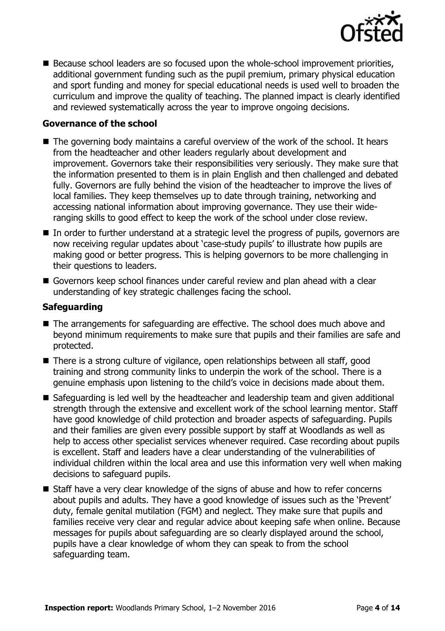

**B** Because school leaders are so focused upon the whole-school improvement priorities, additional government funding such as the pupil premium, primary physical education and sport funding and money for special educational needs is used well to broaden the curriculum and improve the quality of teaching. The planned impact is clearly identified and reviewed systematically across the year to improve ongoing decisions.

#### **Governance of the school**

- The governing body maintains a careful overview of the work of the school. It hears from the headteacher and other leaders regularly about development and improvement. Governors take their responsibilities very seriously. They make sure that the information presented to them is in plain English and then challenged and debated fully. Governors are fully behind the vision of the headteacher to improve the lives of local families. They keep themselves up to date through training, networking and accessing national information about improving governance. They use their wideranging skills to good effect to keep the work of the school under close review.
- In order to further understand at a strategic level the progress of pupils, governors are now receiving regular updates about 'case-study pupils' to illustrate how pupils are making good or better progress. This is helping governors to be more challenging in their questions to leaders.
- Governors keep school finances under careful review and plan ahead with a clear understanding of key strategic challenges facing the school.

#### **Safeguarding**

- The arrangements for safeguarding are effective. The school does much above and beyond minimum requirements to make sure that pupils and their families are safe and protected.
- There is a strong culture of vigilance, open relationships between all staff, good training and strong community links to underpin the work of the school. There is a genuine emphasis upon listening to the child's voice in decisions made about them.
- Safeguarding is led well by the headteacher and leadership team and given additional strength through the extensive and excellent work of the school learning mentor. Staff have good knowledge of child protection and broader aspects of safeguarding. Pupils and their families are given every possible support by staff at Woodlands as well as help to access other specialist services whenever required. Case recording about pupils is excellent. Staff and leaders have a clear understanding of the vulnerabilities of individual children within the local area and use this information very well when making decisions to safeguard pupils.
- Staff have a very clear knowledge of the signs of abuse and how to refer concerns about pupils and adults. They have a good knowledge of issues such as the 'Prevent' duty, female genital mutilation (FGM) and neglect. They make sure that pupils and families receive very clear and regular advice about keeping safe when online. Because messages for pupils about safeguarding are so clearly displayed around the school, pupils have a clear knowledge of whom they can speak to from the school safeguarding team.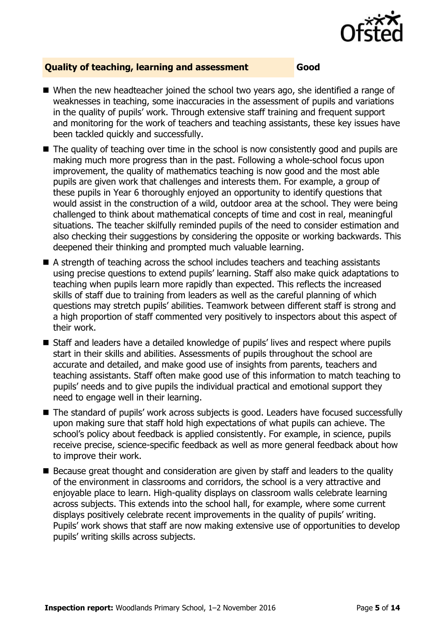

#### **Quality of teaching, learning and assessment Good**

- When the new headteacher joined the school two years ago, she identified a range of weaknesses in teaching, some inaccuracies in the assessment of pupils and variations in the quality of pupils' work. Through extensive staff training and frequent support and monitoring for the work of teachers and teaching assistants, these key issues have been tackled quickly and successfully.
- The quality of teaching over time in the school is now consistently good and pupils are making much more progress than in the past. Following a whole-school focus upon improvement, the quality of mathematics teaching is now good and the most able pupils are given work that challenges and interests them. For example, a group of these pupils in Year 6 thoroughly enjoyed an opportunity to identify questions that would assist in the construction of a wild, outdoor area at the school. They were being challenged to think about mathematical concepts of time and cost in real, meaningful situations. The teacher skilfully reminded pupils of the need to consider estimation and also checking their suggestions by considering the opposite or working backwards. This deepened their thinking and prompted much valuable learning.
- A strength of teaching across the school includes teachers and teaching assistants using precise questions to extend pupils' learning. Staff also make quick adaptations to teaching when pupils learn more rapidly than expected. This reflects the increased skills of staff due to training from leaders as well as the careful planning of which questions may stretch pupils' abilities. Teamwork between different staff is strong and a high proportion of staff commented very positively to inspectors about this aspect of their work.
- Staff and leaders have a detailed knowledge of pupils' lives and respect where pupils start in their skills and abilities. Assessments of pupils throughout the school are accurate and detailed, and make good use of insights from parents, teachers and teaching assistants. Staff often make good use of this information to match teaching to pupils' needs and to give pupils the individual practical and emotional support they need to engage well in their learning.
- The standard of pupils' work across subjects is good. Leaders have focused successfully upon making sure that staff hold high expectations of what pupils can achieve. The school's policy about feedback is applied consistently. For example, in science, pupils receive precise, science-specific feedback as well as more general feedback about how to improve their work.
- Because great thought and consideration are given by staff and leaders to the quality of the environment in classrooms and corridors, the school is a very attractive and enjoyable place to learn. High-quality displays on classroom walls celebrate learning across subjects. This extends into the school hall, for example, where some current displays positively celebrate recent improvements in the quality of pupils' writing. Pupils' work shows that staff are now making extensive use of opportunities to develop pupils' writing skills across subjects.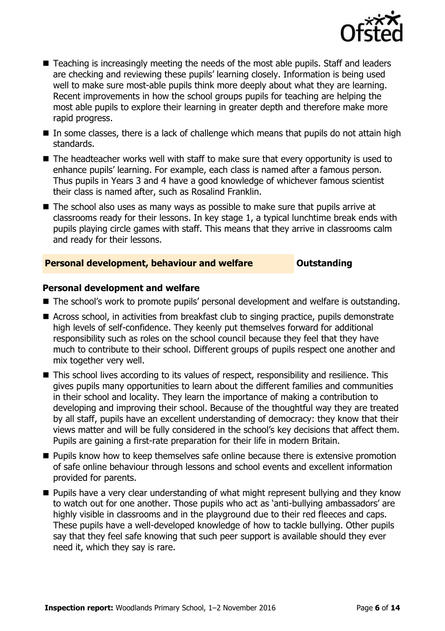

- Teaching is increasingly meeting the needs of the most able pupils. Staff and leaders are checking and reviewing these pupils' learning closely. Information is being used well to make sure most-able pupils think more deeply about what they are learning. Recent improvements in how the school groups pupils for teaching are helping the most able pupils to explore their learning in greater depth and therefore make more rapid progress.
- $\blacksquare$  In some classes, there is a lack of challenge which means that pupils do not attain high standards.
- The headteacher works well with staff to make sure that every opportunity is used to enhance pupils' learning. For example, each class is named after a famous person. Thus pupils in Years 3 and 4 have a good knowledge of whichever famous scientist their class is named after, such as Rosalind Franklin.
- $\blacksquare$  The school also uses as many ways as possible to make sure that pupils arrive at classrooms ready for their lessons. In key stage 1, a typical lunchtime break ends with pupils playing circle games with staff. This means that they arrive in classrooms calm and ready for their lessons.

#### **Personal development, behaviour and welfare <b>COULTS** Outstanding

#### **Personal development and welfare**

- The school's work to promote pupils' personal development and welfare is outstanding.
- Across school, in activities from breakfast club to singing practice, pupils demonstrate high levels of self-confidence. They keenly put themselves forward for additional responsibility such as roles on the school council because they feel that they have much to contribute to their school. Different groups of pupils respect one another and mix together very well.
- This school lives according to its values of respect, responsibility and resilience. This gives pupils many opportunities to learn about the different families and communities in their school and locality. They learn the importance of making a contribution to developing and improving their school. Because of the thoughtful way they are treated by all staff, pupils have an excellent understanding of democracy: they know that their views matter and will be fully considered in the school's key decisions that affect them. Pupils are gaining a first-rate preparation for their life in modern Britain.
- **Pupils know how to keep themselves safe online because there is extensive promotion** of safe online behaviour through lessons and school events and excellent information provided for parents.
- **Pupils have a very clear understanding of what might represent bullying and they know** to watch out for one another. Those pupils who act as 'anti-bullying ambassadors' are highly visible in classrooms and in the playground due to their red fleeces and caps. These pupils have a well-developed knowledge of how to tackle bullying. Other pupils say that they feel safe knowing that such peer support is available should they ever need it, which they say is rare.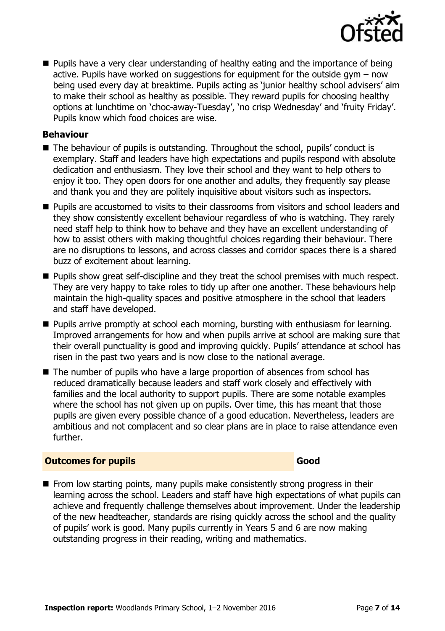

**Pupils have a very clear understanding of healthy eating and the importance of being** active. Pupils have worked on suggestions for equipment for the outside gym – now being used every day at breaktime. Pupils acting as 'junior healthy school advisers' aim to make their school as healthy as possible. They reward pupils for choosing healthy options at lunchtime on 'choc-away-Tuesday', 'no crisp Wednesday' and 'fruity Friday'. Pupils know which food choices are wise.

#### **Behaviour**

- The behaviour of pupils is outstanding. Throughout the school, pupils' conduct is exemplary. Staff and leaders have high expectations and pupils respond with absolute dedication and enthusiasm. They love their school and they want to help others to enjoy it too. They open doors for one another and adults, they frequently say please and thank you and they are politely inquisitive about visitors such as inspectors.
- **Pupils are accustomed to visits to their classrooms from visitors and school leaders and** they show consistently excellent behaviour regardless of who is watching. They rarely need staff help to think how to behave and they have an excellent understanding of how to assist others with making thoughtful choices regarding their behaviour. There are no disruptions to lessons, and across classes and corridor spaces there is a shared buzz of excitement about learning.
- **Pupils show great self-discipline and they treat the school premises with much respect.** They are very happy to take roles to tidy up after one another. These behaviours help maintain the high-quality spaces and positive atmosphere in the school that leaders and staff have developed.
- **Pupils arrive promptly at school each morning, bursting with enthusiasm for learning.** Improved arrangements for how and when pupils arrive at school are making sure that their overall punctuality is good and improving quickly. Pupils' attendance at school has risen in the past two years and is now close to the national average.
- The number of pupils who have a large proportion of absences from school has reduced dramatically because leaders and staff work closely and effectively with families and the local authority to support pupils. There are some notable examples where the school has not given up on pupils. Over time, this has meant that those pupils are given every possible chance of a good education. Nevertheless, leaders are ambitious and not complacent and so clear plans are in place to raise attendance even further.

### **Outcomes for pupils Good**

 $\blacksquare$  From low starting points, many pupils make consistently strong progress in their learning across the school. Leaders and staff have high expectations of what pupils can achieve and frequently challenge themselves about improvement. Under the leadership of the new headteacher, standards are rising quickly across the school and the quality of pupils' work is good. Many pupils currently in Years 5 and 6 are now making outstanding progress in their reading, writing and mathematics.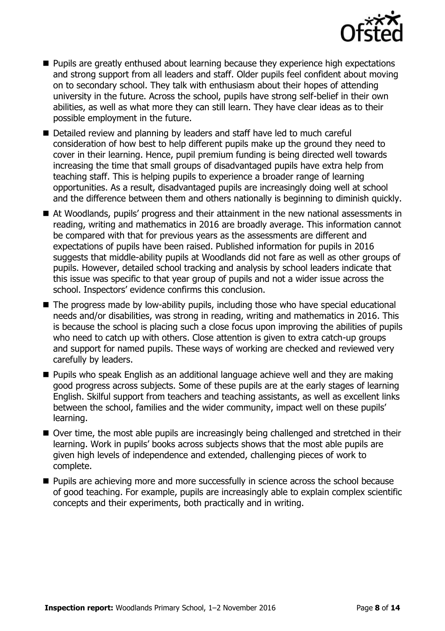

- **Pupils are greatly enthused about learning because they experience high expectations** and strong support from all leaders and staff. Older pupils feel confident about moving on to secondary school. They talk with enthusiasm about their hopes of attending university in the future. Across the school, pupils have strong self-belief in their own abilities, as well as what more they can still learn. They have clear ideas as to their possible employment in the future.
- Detailed review and planning by leaders and staff have led to much careful consideration of how best to help different pupils make up the ground they need to cover in their learning. Hence, pupil premium funding is being directed well towards increasing the time that small groups of disadvantaged pupils have extra help from teaching staff. This is helping pupils to experience a broader range of learning opportunities. As a result, disadvantaged pupils are increasingly doing well at school and the difference between them and others nationally is beginning to diminish quickly.
- At Woodlands, pupils' progress and their attainment in the new national assessments in reading, writing and mathematics in 2016 are broadly average. This information cannot be compared with that for previous years as the assessments are different and expectations of pupils have been raised. Published information for pupils in 2016 suggests that middle-ability pupils at Woodlands did not fare as well as other groups of pupils. However, detailed school tracking and analysis by school leaders indicate that this issue was specific to that year group of pupils and not a wider issue across the school. Inspectors' evidence confirms this conclusion.
- The progress made by low-ability pupils, including those who have special educational needs and/or disabilities, was strong in reading, writing and mathematics in 2016. This is because the school is placing such a close focus upon improving the abilities of pupils who need to catch up with others. Close attention is given to extra catch-up groups and support for named pupils. These ways of working are checked and reviewed very carefully by leaders.
- **Pupils who speak English as an additional language achieve well and they are making** good progress across subjects. Some of these pupils are at the early stages of learning English. Skilful support from teachers and teaching assistants, as well as excellent links between the school, families and the wider community, impact well on these pupils' learning.
- Over time, the most able pupils are increasingly being challenged and stretched in their learning. Work in pupils' books across subjects shows that the most able pupils are given high levels of independence and extended, challenging pieces of work to complete.
- **Pupils are achieving more and more successfully in science across the school because** of good teaching. For example, pupils are increasingly able to explain complex scientific concepts and their experiments, both practically and in writing.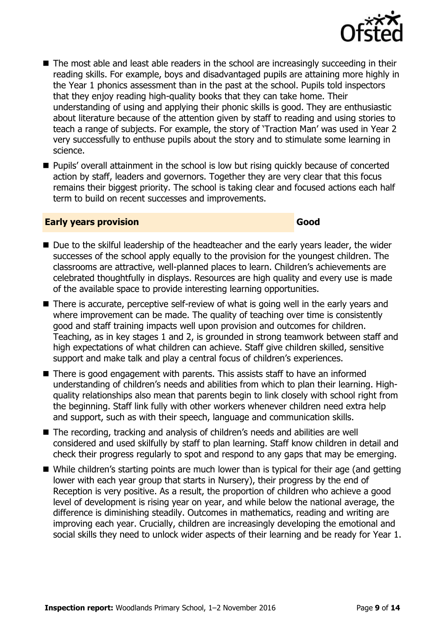

- The most able and least able readers in the school are increasingly succeeding in their reading skills. For example, boys and disadvantaged pupils are attaining more highly in the Year 1 phonics assessment than in the past at the school. Pupils told inspectors that they enjoy reading high-quality books that they can take home. Their understanding of using and applying their phonic skills is good. They are enthusiastic about literature because of the attention given by staff to reading and using stories to teach a range of subjects. For example, the story of 'Traction Man' was used in Year 2 very successfully to enthuse pupils about the story and to stimulate some learning in science.
- **Pupils'** overall attainment in the school is low but rising quickly because of concerted action by staff, leaders and governors. Together they are very clear that this focus remains their biggest priority. The school is taking clear and focused actions each half term to build on recent successes and improvements.

#### **Early years provision Good Good**

- Due to the skilful leadership of the headteacher and the early years leader, the wider successes of the school apply equally to the provision for the youngest children. The classrooms are attractive, well-planned places to learn. Children's achievements are celebrated thoughtfully in displays. Resources are high quality and every use is made of the available space to provide interesting learning opportunities.
- There is accurate, perceptive self-review of what is going well in the early years and where improvement can be made. The quality of teaching over time is consistently good and staff training impacts well upon provision and outcomes for children. Teaching, as in key stages 1 and 2, is grounded in strong teamwork between staff and high expectations of what children can achieve. Staff give children skilled, sensitive support and make talk and play a central focus of children's experiences.
- There is good engagement with parents. This assists staff to have an informed understanding of children's needs and abilities from which to plan their learning. Highquality relationships also mean that parents begin to link closely with school right from the beginning. Staff link fully with other workers whenever children need extra help and support, such as with their speech, language and communication skills.
- The recording, tracking and analysis of children's needs and abilities are well considered and used skilfully by staff to plan learning. Staff know children in detail and check their progress regularly to spot and respond to any gaps that may be emerging.
- While children's starting points are much lower than is typical for their age (and getting lower with each year group that starts in Nursery), their progress by the end of Reception is very positive. As a result, the proportion of children who achieve a good level of development is rising year on year, and while below the national average, the difference is diminishing steadily. Outcomes in mathematics, reading and writing are improving each year. Crucially, children are increasingly developing the emotional and social skills they need to unlock wider aspects of their learning and be ready for Year 1.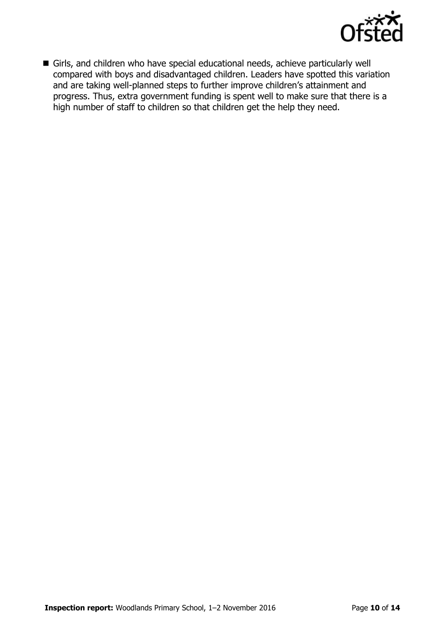

Girls, and children who have special educational needs, achieve particularly well compared with boys and disadvantaged children. Leaders have spotted this variation and are taking well-planned steps to further improve children's attainment and progress. Thus, extra government funding is spent well to make sure that there is a high number of staff to children so that children get the help they need.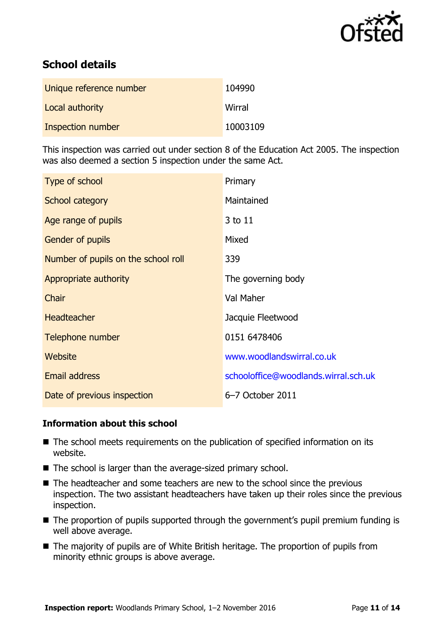

# **School details**

| Unique reference number | 104990   |
|-------------------------|----------|
| Local authority         | Wirral   |
| Inspection number       | 10003109 |

This inspection was carried out under section 8 of the Education Act 2005. The inspection was also deemed a section 5 inspection under the same Act.

| Type of school                      | Primary                              |
|-------------------------------------|--------------------------------------|
| School category                     | Maintained                           |
| Age range of pupils                 | 3 to 11                              |
| <b>Gender of pupils</b>             | Mixed                                |
| Number of pupils on the school roll | 339                                  |
| Appropriate authority               | The governing body                   |
| Chair                               | Val Maher                            |
| <b>Headteacher</b>                  | Jacquie Fleetwood                    |
| Telephone number                    | 0151 6478406                         |
| Website                             | www.woodlandswirral.co.uk            |
| <b>Email address</b>                | schooloffice@woodlands.wirral.sch.uk |
| Date of previous inspection         | 6-7 October 2011                     |

### **Information about this school**

- The school meets requirements on the publication of specified information on its website.
- $\blacksquare$  The school is larger than the average-sized primary school.
- The headteacher and some teachers are new to the school since the previous inspection. The two assistant headteachers have taken up their roles since the previous inspection.
- The proportion of pupils supported through the government's pupil premium funding is well above average.
- The majority of pupils are of White British heritage. The proportion of pupils from minority ethnic groups is above average.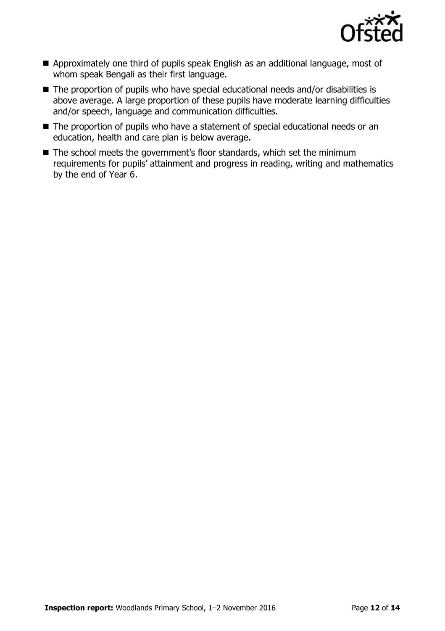

- Approximately one third of pupils speak English as an additional language, most of whom speak Bengali as their first language.
- The proportion of pupils who have special educational needs and/or disabilities is above average. A large proportion of these pupils have moderate learning difficulties and/or speech, language and communication difficulties.
- The proportion of pupils who have a statement of special educational needs or an education, health and care plan is below average.
- The school meets the government's floor standards, which set the minimum requirements for pupils' attainment and progress in reading, writing and mathematics by the end of Year 6.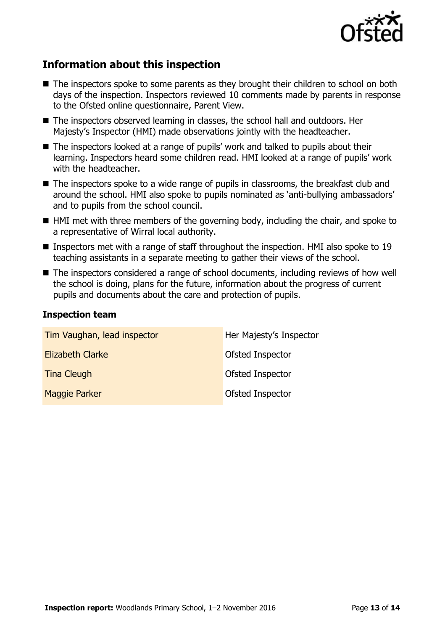

# **Information about this inspection**

- The inspectors spoke to some parents as they brought their children to school on both days of the inspection. Inspectors reviewed 10 comments made by parents in response to the Ofsted online questionnaire, Parent View.
- The inspectors observed learning in classes, the school hall and outdoors. Her Majesty's Inspector (HMI) made observations jointly with the headteacher.
- The inspectors looked at a range of pupils' work and talked to pupils about their learning. Inspectors heard some children read. HMI looked at a range of pupils' work with the headteacher.
- The inspectors spoke to a wide range of pupils in classrooms, the breakfast club and around the school. HMI also spoke to pupils nominated as 'anti-bullying ambassadors' and to pupils from the school council.
- HMI met with three members of the governing body, including the chair, and spoke to a representative of Wirral local authority.
- **Inspectors met with a range of staff throughout the inspection. HMI also spoke to 19** teaching assistants in a separate meeting to gather their views of the school.
- The inspectors considered a range of school documents, including reviews of how well the school is doing, plans for the future, information about the progress of current pupils and documents about the care and protection of pupils.

#### **Inspection team**

| Tim Vaughan, lead inspector | Her Majesty's Inspector |
|-----------------------------|-------------------------|
| <b>Elizabeth Clarke</b>     | Ofsted Inspector        |
| <b>Tina Cleugh</b>          | Ofsted Inspector        |
| <b>Maggie Parker</b>        | Ofsted Inspector        |